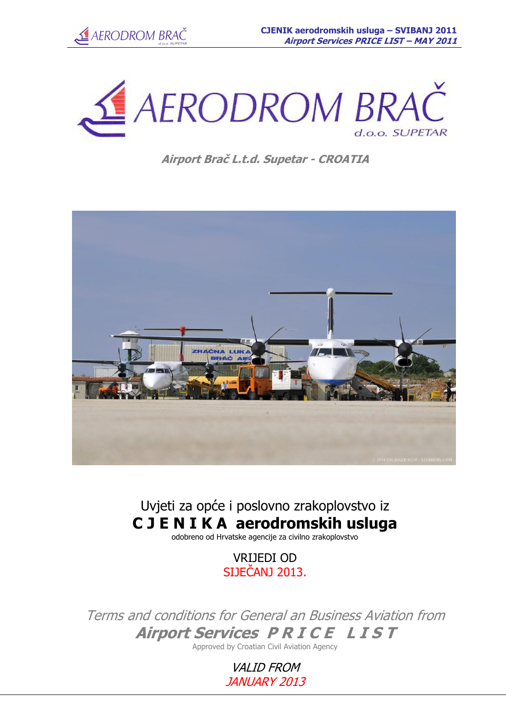



# **Airport Braĉ L.t.d. Supetar - CROATIA**



# Uvjeti za opće i poslovno zrakoplovstvo iz **C J E N I K A aerodromskih usluga**

odobreno od Hrvatske agencije za civilno zrakoplovstvo

VRIJEDI OD SIJEČANJ 2013.

Terms and conditions for General an Business Aviation from **Airport Services PRICE LIST** 

Approved by Croatian Civil Aviation Agency

**VALID FROM** JANUARY 2013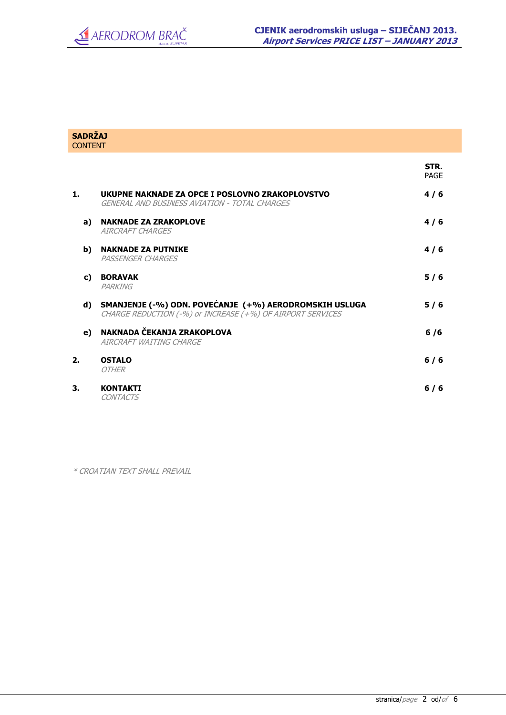| <b>SADRŽAJ</b><br><b>CONTENT</b> |                                                                                                                      |                     |
|----------------------------------|----------------------------------------------------------------------------------------------------------------------|---------------------|
|                                  |                                                                                                                      | STR.<br><b>PAGE</b> |
| 1.                               | UKUPNE NAKNADE ZA OPCE I POSLOVNO ZRAKOPLOVSTVO<br>GENERAL AND BUSINESS AVIATION - TOTAL CHARGES                     | 4/6                 |
| a)                               | <b>NAKNADE ZA ZRAKOPLOVE</b><br><b>AIRCRAFT CHARGES</b>                                                              | 4/6                 |
| b)                               | <b>NAKNADE ZA PUTNIKE</b><br>PASSENGER CHARGES                                                                       | 4/6                 |
| C)                               | <b>BORAVAK</b><br>PARKING                                                                                            | 5/6                 |
| d)                               | SMANJENJE (-%) ODN. POVEĆANJE (+%) AERODROMSKIH USLUGA<br>CHARGE REDUCTION (-%) or INCREASE (+%) OF AIRPORT SERVICES | 5/6                 |
| e)                               | NAKNADA ČEKANJA ZRAKOPLOVA<br>AIRCRAFT WAITING CHARGE                                                                | 6/6                 |
| 2.                               | <b>OSTALO</b><br><b>OTHER</b>                                                                                        | $6/6$               |
| 3.                               | <b>KONTAKTI</b><br><b>CONTACTS</b>                                                                                   | $6/6$               |
|                                  |                                                                                                                      |                     |

\* CROATIAN TEXT SHALL PREVAIL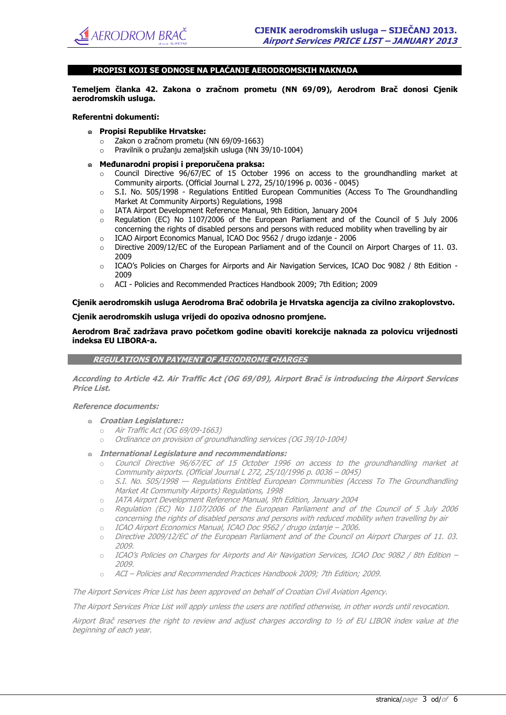## **PROPISI KOJI SE ODNOSE NA PLAĆANJE AERODROMSKIH NAKNADA**

**Temeljem ĉlanka 42. Zakona o zraĉnom prometu (NN 69/09), Aerodrom Braĉ donosi Cjenik aerodromskih usluga.** 

#### **Referentni dokumenti:**

- ๑ **Propisi Republike Hrvatske:** 
	- o Zakon o zračnom prometu (NN 69/09-1663)
	- o Pravilnik o pružanju zemaljskih usluga (NN 39/10-1004)
- ๑ **MeĊunarodni propisi i preporuĉena praksa:**
	- $\circ$  Council Directive 96/67/EC of 15 October 1996 on access to the groundhandling market at Community airports. (Official Journal L 272, 25/10/1996 p. 0036 - 0045)
	- S.I. No. 505/1998 Regulations Entitled European Communities (Access To The Groundhandling Market At Community Airports) Regulations, 1998
	- o IATA Airport Development Reference Manual, 9th Edition, January 2004
	- o Regulation (EC) No 1107/2006 of the European Parliament and of the Council of 5 July 2006 concerning the rights of disabled persons and persons with reduced mobility when travelling by air
	- o ICAO Airport Economics Manual, ICAO Doc 9562 / drugo izdanje 2006
	- o Directive 2009/12/EC of the European Parliament and of the Council on Airport Charges of 11. 03. 2009
	- o ICAO's Policies on Charges for Airports and Air Navigation Services, ICAO Doc 9082 / 8th Edition 2009
	- o ACI Policies and Recommended Practices Handbook 2009; 7th Edition; 2009

**Cjenik aerodromskih usluga Aerodroma Braĉ odobrila je Hrvatska agencija za civilno zrakoplovstvo.** 

**Cjenik aerodromskih usluga vrijedi do opoziva odnosno promjene.** 

**Aerodrom Braĉ zadržava pravo poĉetkom godine obaviti korekcije naknada za polovicu vrijednosti indeksa EU LIBORA-a.** 

**REGULATIONS ON PAYMENT OF AERODROME CHARGES**

**According to Article 42. Air Traffic Act (OG 69/09), Airport Braĉ is introducing the Airport Services Price List.** 

#### **Reference documents:**

- ๑ **Croatian Legislature::** 
	- o Air Traffic Act (OG 69/09-1663)
	- o Ordinance on provision of groundhandling services (OG 39/10-1004)
- ๑ **International Legislature and recommendations:** 
	- o Council Directive 96/67/EC of 15 October 1996 on access to the groundhandling market at Community airports. (Official Journal L 272, 25/10/1996 p. 0036 – 0045)
	- o S.I. No. 505/1998 Regulations Entitled European Communities (Access To The Groundhandling Market At Community Airports) Regulations, 1998
	- o IATA Airport Development Reference Manual, 9th Edition, January 2004
	- Regulation (EC) No 1107/2006 of the European Parliament and of the Council of 5 July 2006 concerning the rights of disabled persons and persons with reduced mobility when travelling by air
	- o ICAO Airport Economics Manual, ICAO Doc 9562 / drugo izdanje 2006.
	- o Directive 2009/12/EC of the European Parliament and of the Council on Airport Charges of 11. 03. 2009.
	- o ICAO's Policies on Charges for Airports and Air Navigation Services, ICAO Doc 9082 / 8th Edition 2009.
	- o ACI Policies and Recommended Practices Handbook 2009; 7th Edition; 2009.

The Airport Services Price List has been approved on behalf of Croatian Civil Aviation Agency.

The Airport Services Price List will apply unless the users are notified otherwise, in other words until revocation.

Airport Brač reserves the right to review and adjust charges according to ½ of EU LIBOR index value at the beginning of each year.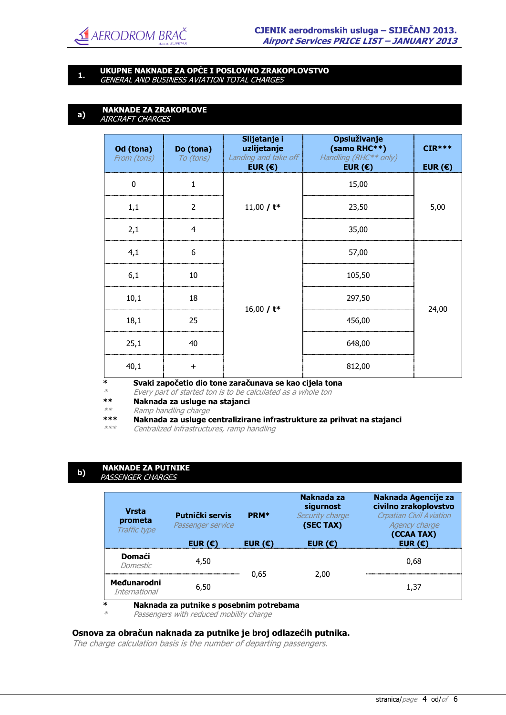

# **1. UKUPNE NAKNADE ZA OPĆE I POSLOVNO ZRAKOPLOVSTVO** GENERAL AND BUSINESS AVIATION TOTAL CHARGES

#### **a) NAKNADE ZA ZRAKOPLOVE** AIRCRAFT CHARGES

| Do (tona)<br>To (tons) | Slijetanje i<br>uzlijetanje<br>EUR $(\epsilon)$ | Opsluživanje<br>(samo RHC**)<br>Handling (RHC <sup>**</sup> only)<br>EUR $(\epsilon)$ | $CIR***$<br>EUR $(\epsilon)$                                                   |
|------------------------|-------------------------------------------------|---------------------------------------------------------------------------------------|--------------------------------------------------------------------------------|
| $\mathbf{1}$           |                                                 | 15,00                                                                                 |                                                                                |
| $\overline{2}$         | 11,00 / $t^*$                                   | 23,50                                                                                 | 5,00                                                                           |
| 4                      |                                                 | 35,00                                                                                 |                                                                                |
| 6                      | 16,00 / $t^*$                                   | 57,00                                                                                 |                                                                                |
| 10                     |                                                 | 105,50                                                                                |                                                                                |
| 18                     |                                                 | 297,50                                                                                |                                                                                |
| 25                     |                                                 | 456,00                                                                                | 24,00                                                                          |
| 40                     |                                                 | 648,00                                                                                |                                                                                |
| $+$                    |                                                 | 812,00                                                                                |                                                                                |
|                        |                                                 |                                                                                       | Landing and take off<br>Svaki započetio dio tone zaračunava se kao cijela tona |

\* Every part of started ton is to be calculated as a whole ton

**\*\* Naknada za usluge na stajanci**

Ramp handling charge

**\*\*\* Naknada za usluge centralizirane infrastrukture za prihvat na stajanci**

\*\*\* Centralized infrastructures, ramp handling

#### **b) NAKNADE ZA PUTNIKE** PASSENGER CHARGES

 $\ast$ 

| <b>Vrsta</b><br>prometa<br>Traffic type | Putnički servis<br>Passenger service | <b>PRM*</b>      | Naknada za<br>sigurnost<br>Security charge<br>(SEC TAX) | Naknada Agencije za<br>civilno zrakoplovstvo<br><b>Crpatian Civil Aviation</b><br>Agency charge<br>(CCAA TAX) |
|-----------------------------------------|--------------------------------------|------------------|---------------------------------------------------------|---------------------------------------------------------------------------------------------------------------|
|                                         | EUR $(\epsilon)$                     | EUR $(\epsilon)$ | EUR $(\epsilon)$                                        | EUR $(\epsilon)$                                                                                              |
| <b>Domaći</b><br>Domestic               | 4,50                                 |                  |                                                         | 0,68                                                                                                          |
| Međunarodni<br><i>International</i>     | 6,50                                 | 0,65             | 2,00                                                    | 1,37                                                                                                          |

Passengers with reduced mobility charge

# **Osnova za obraĉun naknada za putnike je broj odlazećih putnika.**

The charge calculation basis is the number of departing passengers.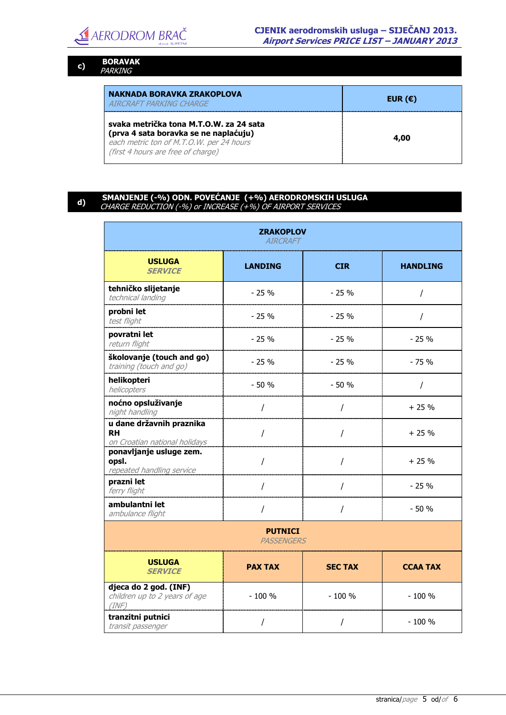

## **c) BORAVAK** PARKING

| NAKNADA BORAVKA ZRAKOPLOVA                                                                                                                                         | EUR $(\epsilon)$ |
|--------------------------------------------------------------------------------------------------------------------------------------------------------------------|------------------|
| AIRCRAFT PARKING CHARGE                                                                                                                                            |                  |
| svaka metrička tona M.T.O.W. za 24 sata<br>(prva 4 sata boravka se ne naplaćuju)<br>each metric ton of M.T.O.W. per 24 hours<br>(first 4 hours are free of charge) | 4,00             |

# **d) SMANJENJE (-%) ODN. POVEĆANJE (+%) AERODROMSKIH USLUGA** CHARGE REDUCTION (-%) or INCREASE (+%) OF AIRPORT SERVICES

| <b>ZRAKOPLOV</b><br><b>AIRCRAFT</b>                                    |                |                |                 |
|------------------------------------------------------------------------|----------------|----------------|-----------------|
| <b>USLUGA</b><br><b>SERVICE</b>                                        | <b>LANDING</b> | <b>CIR</b>     | <b>HANDLING</b> |
| tehničko slijetanje<br>technical landing                               | $-25%$         | $-25%$         | $\prime$        |
| probni let<br>test flight                                              | $-25%$         | $-25%$         | T               |
| povratni let<br>return flight                                          | $-25%$         | $-25%$         | $-25%$          |
| školovanje (touch and go)<br>training (touch and go)                   | $-25%$         | $-25%$         | $-75%$          |
| helikopteri<br>helicopters                                             | $-50%$         | $-50%$         | $\sqrt{2}$      |
| noćno opsluživanje<br>night handling                                   | $\prime$       | $\prime$       | $+25%$          |
| u dane državnih praznika<br><b>RH</b><br>on Croatian national holidays | T              | $\prime$       | $+25%$          |
| ponavljanje usluge zem.<br>opsl.<br>repeated handling service          | $\prime$       | $\prime$       | $+25%$          |
| prazni let<br>ferry flight                                             | $\prime$       | I              | $-25%$          |
| ambulantni let<br>ambulance flight                                     | $\prime$       | $\prime$       | $-50%$          |
| <b>PUTNICI</b><br>PASSENGERS                                           |                |                |                 |
| <b>USLUGA</b><br><b>SERVICE</b>                                        | <b>PAX TAX</b> | <b>SEC TAX</b> | <b>CCAA TAX</b> |
| djeca do 2 god. (INF)<br>children up to 2 years of age<br>(INF)        | $-100%$        | $-100%$        | $-100%$         |
| tranzitni putnici<br>transit passenger                                 |                | Ι              | $-100%$         |